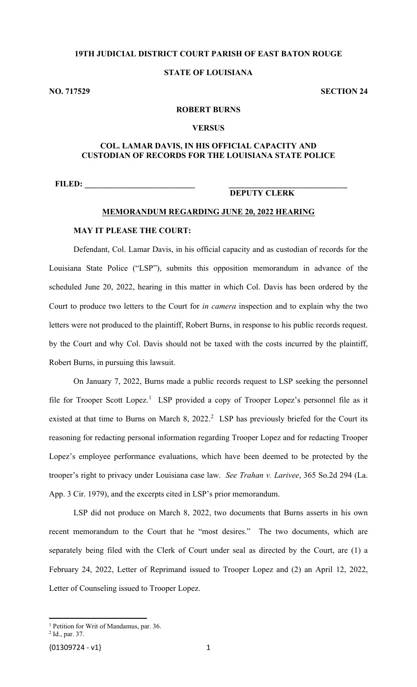# **19TH JUDICIAL DISTRICT COURT PARISH OF EAST BATON ROUGE**

# **STATE OF LOUISIANA**

**NO. 717529 SECTION 24**

### **ROBERT BURNS**

#### **VERSUS**

## **COL. LAMAR DAVIS, IN HIS OFFICIAL CAPACITY AND CUSTODIAN OF RECORDS FOR THE LOUISIANA STATE POLICE**

**FILED: \_\_\_\_\_\_\_\_\_\_\_\_\_\_\_\_\_\_\_\_\_\_\_\_\_\_\_ \_\_\_\_\_\_\_\_\_\_\_\_\_\_\_\_\_\_\_\_\_\_\_\_\_\_\_\_\_**

# **DEPUTY CLERK**

# **MEMORANDUM REGARDING JUNE 20, 2022 HEARING**

#### **MAY IT PLEASE THE COURT:**

Defendant, Col. Lamar Davis, in his official capacity and as custodian of records for the Louisiana State Police ("LSP"), submits this opposition memorandum in advance of the scheduled June 20, 2022, hearing in this matter in which Col. Davis has been ordered by the Court to produce two letters to the Court for *in camera* inspection and to explain why the two letters were not produced to the plaintiff, Robert Burns, in response to his public records request. by the Court and why Col. Davis should not be taxed with the costs incurred by the plaintiff, Robert Burns, in pursuing this lawsuit.

On January 7, 2022, Burns made a public records request to LSP seeking the personnel file for Trooper Scott Lopez.<sup>[1](#page-0-0)</sup> LSP provided a copy of Trooper Lopez's personnel file as it existed at that time to Burns on March 8,  $2022<sup>2</sup>$  $2022<sup>2</sup>$  LSP has previously briefed for the Court its reasoning for redacting personal information regarding Trooper Lopez and for redacting Trooper Lopez's employee performance evaluations, which have been deemed to be protected by the trooper's right to privacy under Louisiana case law. *See Trahan v. Larivee*, 365 So.2d 294 (La. App. 3 Cir. 1979), and the excerpts cited in LSP's prior memorandum.

LSP did not produce on March 8, 2022, two documents that Burns asserts in his own recent memorandum to the Court that he "most desires." The two documents, which are separately being filed with the Clerk of Court under seal as directed by the Court, are (1) a February 24, 2022, Letter of Reprimand issued to Trooper Lopez and (2) an April 12, 2022, Letter of Counseling issued to Trooper Lopez.

<span id="page-0-0"></span><sup>&</sup>lt;sup>1</sup> Petition for Writ of Mandamus, par. 36.

<span id="page-0-1"></span><sup>2</sup> Id., par. 37.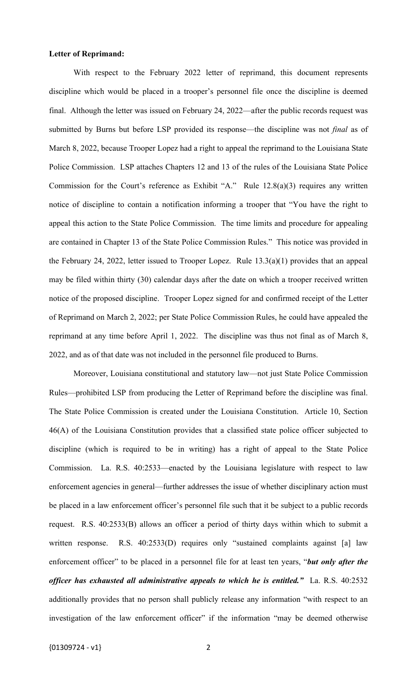### **Letter of Reprimand:**

With respect to the February 2022 letter of reprimand, this document represents discipline which would be placed in a trooper's personnel file once the discipline is deemed final. Although the letter was issued on February 24, 2022—after the public records request was submitted by Burns but before LSP provided its response—the discipline was not *final* as of March 8, 2022, because Trooper Lopez had a right to appeal the reprimand to the Louisiana State Police Commission. LSP attaches Chapters 12 and 13 of the rules of the Louisiana State Police Commission for the Court's reference as Exhibit "A." Rule 12.8(a)(3) requires any written notice of discipline to contain a notification informing a trooper that "You have the right to appeal this action to the State Police Commission. The time limits and procedure for appealing are contained in Chapter 13 of the State Police Commission Rules." This notice was provided in the February 24, 2022, letter issued to Trooper Lopez. Rule 13.3(a)(1) provides that an appeal may be filed within thirty (30) calendar days after the date on which a trooper received written notice of the proposed discipline. Trooper Lopez signed for and confirmed receipt of the Letter of Reprimand on March 2, 2022; per State Police Commission Rules, he could have appealed the reprimand at any time before April 1, 2022. The discipline was thus not final as of March 8, 2022, and as of that date was not included in the personnel file produced to Burns.

Moreover, Louisiana constitutional and statutory law—not just State Police Commission Rules—prohibited LSP from producing the Letter of Reprimand before the discipline was final. The State Police Commission is created under the Louisiana Constitution. Article 10, Section 46(A) of the Louisiana Constitution provides that a classified state police officer subjected to discipline (which is required to be in writing) has a right of appeal to the State Police Commission. La. R.S. 40:2533—enacted by the Louisiana legislature with respect to law enforcement agencies in general—further addresses the issue of whether disciplinary action must be placed in a law enforcement officer's personnel file such that it be subject to a public records request. R.S. 40:2533(B) allows an officer a period of thirty days within which to submit a written response. R.S. 40:2533(D) requires only "sustained complaints against [a] law enforcement officer" to be placed in a personnel file for at least ten years, "*but only after the officer has exhausted all administrative appeals to which he is entitled."* La. R.S. 40:2532 additionally provides that no person shall publicly release any information "with respect to an investigation of the law enforcement officer" if the information "may be deemed otherwise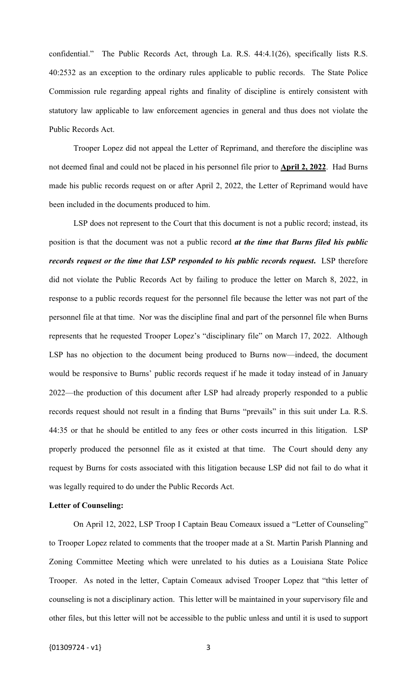confidential." The Public Records Act, through La. R.S. 44:4.1(26), specifically lists R.S. 40:2532 as an exception to the ordinary rules applicable to public records. The State Police Commission rule regarding appeal rights and finality of discipline is entirely consistent with statutory law applicable to law enforcement agencies in general and thus does not violate the Public Records Act.

Trooper Lopez did not appeal the Letter of Reprimand, and therefore the discipline was not deemed final and could not be placed in his personnel file prior to **April 2, 2022**. Had Burns made his public records request on or after April 2, 2022, the Letter of Reprimand would have been included in the documents produced to him.

LSP does not represent to the Court that this document is not a public record; instead, its position is that the document was not a public record *at the time that Burns filed his public records request or the time that LSP responded to his public records request***.** LSP therefore did not violate the Public Records Act by failing to produce the letter on March 8, 2022, in response to a public records request for the personnel file because the letter was not part of the personnel file at that time. Nor was the discipline final and part of the personnel file when Burns represents that he requested Trooper Lopez's "disciplinary file" on March 17, 2022. Although LSP has no objection to the document being produced to Burns now—indeed, the document would be responsive to Burns' public records request if he made it today instead of in January 2022—the production of this document after LSP had already properly responded to a public records request should not result in a finding that Burns "prevails" in this suit under La. R.S. 44:35 or that he should be entitled to any fees or other costs incurred in this litigation. LSP properly produced the personnel file as it existed at that time. The Court should deny any request by Burns for costs associated with this litigation because LSP did not fail to do what it was legally required to do under the Public Records Act.

## **Letter of Counseling:**

On April 12, 2022, LSP Troop I Captain Beau Comeaux issued a "Letter of Counseling" to Trooper Lopez related to comments that the trooper made at a St. Martin Parish Planning and Zoning Committee Meeting which were unrelated to his duties as a Louisiana State Police Trooper. As noted in the letter, Captain Comeaux advised Trooper Lopez that "this letter of counseling is not a disciplinary action. This letter will be maintained in your supervisory file and other files, but this letter will not be accessible to the public unless and until it is used to support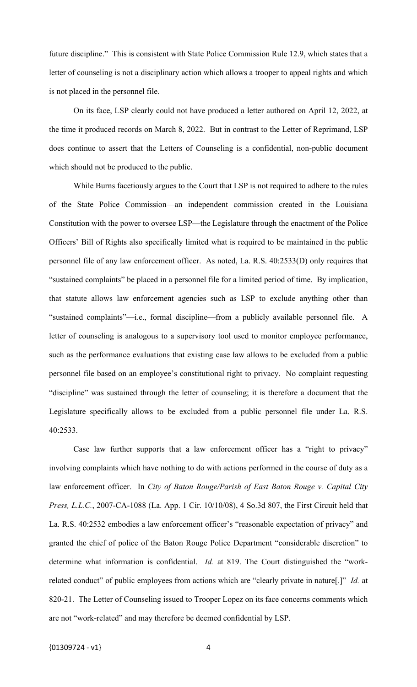future discipline." This is consistent with State Police Commission Rule 12.9, which states that a letter of counseling is not a disciplinary action which allows a trooper to appeal rights and which is not placed in the personnel file.

On its face, LSP clearly could not have produced a letter authored on April 12, 2022, at the time it produced records on March 8, 2022. But in contrast to the Letter of Reprimand, LSP does continue to assert that the Letters of Counseling is a confidential, non-public document which should not be produced to the public.

While Burns facetiously argues to the Court that LSP is not required to adhere to the rules of the State Police Commission—an independent commission created in the Louisiana Constitution with the power to oversee LSP—the Legislature through the enactment of the Police Officers' Bill of Rights also specifically limited what is required to be maintained in the public personnel file of any law enforcement officer. As noted, La. R.S. 40:2533(D) only requires that "sustained complaints" be placed in a personnel file for a limited period of time. By implication, that statute allows law enforcement agencies such as LSP to exclude anything other than "sustained complaints"—i.e., formal discipline—from a publicly available personnel file. A letter of counseling is analogous to a supervisory tool used to monitor employee performance, such as the performance evaluations that existing case law allows to be excluded from a public personnel file based on an employee's constitutional right to privacy. No complaint requesting "discipline" was sustained through the letter of counseling; it is therefore a document that the Legislature specifically allows to be excluded from a public personnel file under La. R.S. 40:2533.

Case law further supports that a law enforcement officer has a "right to privacy" involving complaints which have nothing to do with actions performed in the course of duty as a law enforcement officer. In *City of Baton Rouge/Parish of East Baton Rouge v. Capital City Press, L.L.C.*, 2007-CA-1088 (La. App. 1 Cir. 10/10/08), 4 So.3d 807, the First Circuit held that La. R.S. 40:2532 embodies a law enforcement officer's "reasonable expectation of privacy" and granted the chief of police of the Baton Rouge Police Department "considerable discretion" to determine what information is confidential. *Id.* at 819. The Court distinguished the "workrelated conduct" of public employees from actions which are "clearly private in nature[.]" *Id.* at 820-21. The Letter of Counseling issued to Trooper Lopez on its face concerns comments which are not "work-related" and may therefore be deemed confidential by LSP.